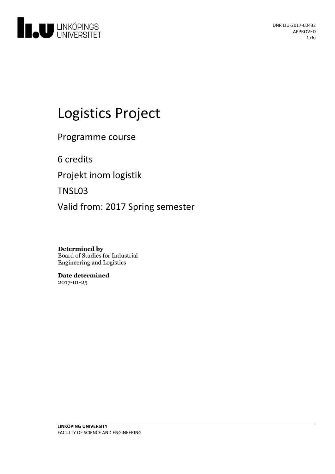

# Logistics Project

Programme course

6 credits

Projekt inom logistik

TNSL03

Valid from: 2017 Spring semester

**Determined by** Board of Studies for Industrial Engineering and Logistics

**Date determined** 2017-01-25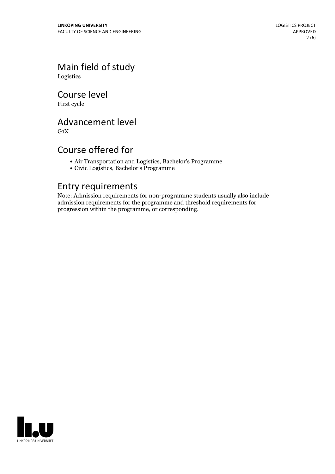Main field of study Logistics

Course level

First cycle

## Advancement level

 $G_1X$ 

#### Course offered for

- Air Transportation and Logistics, Bachelor's Programme
- Civic Logistics, Bachelor's Programme

#### Entry requirements

Note: Admission requirements for non-programme students usually also include admission requirements for the programme and threshold requirements for progression within the programme, or corresponding.

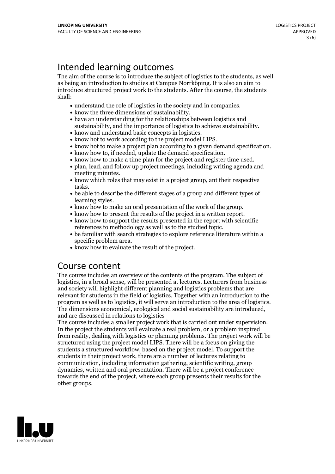# Intended learning outcomes

The aim of the course is to introduce the subject of logistics to the students, as well as being an introduction to studies at Campus Norrköping. It is also an aim to introduce structured project work to the students. After the course, the students shall:

- 
- 
- understand the role of logistics in the society and in companies.<br>• know the three dimensions of sustainability.<br>• have an understanding for the relationships between logistics and
- 
- 
- sustainability, and the importance of logistics to achieve sustainability.<br>
know and understand basic concepts in logistics.<br>
know hot to work according to the project model LIPS.<br>
know hot to make a project plan acc
- 
- 
- 
- meeting minutes. know which roles that may exist in <sup>a</sup> project group, ant their respective
- tasks.<br>• be able to describe the different stages of a group and different types of learning styles.<br>• know how to make an oral presentation of the work of the group.<br>• know how to present the results of the project in a written report.<br>• know how to support the results presented in the report with scient
- 
- 
- references to methodology as well as to the studied topic. be familiar with search strategies to explore reference literature within <sup>a</sup>
- 
- specific problem area.<br>• know how to evaluate the result of the project.

## Course content

The course includes an overview of the contents of the program. The subject of logistics, in a broad sense, will be presented at lectures. Lecturers from business and society will highlight different planning and logistics problems that are relevant for students in the field of logistics. Together with an introduction to the program as well as to logistics, it will serve an introduction to the area of logistics. The dimensions economical, ecological and social sustainability are introduced, and are discussed in relations to logistics

The course includes a smaller project work that is carried out under supervision. In the project the students will evaluate a real problem, or a problem inspired from reality, dealing with logistics or planning problems. The project work willbe structured using the project model LIPS. There will be a focus on giving the students a structured workflow, based on the project model. To support the students in their project work, there are a number of lectures relating to communication, including information gathering, scientific writing, group dynamics, written and oral presentation. There will be a project conference towards the end of the project, where each group presents their results for the other groups.

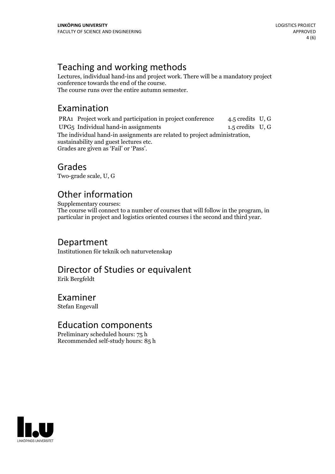# Teaching and working methods

Lectures, individual hand-ins and project work. There will be a mandatory project The course runs over the entire autumn semester.

# Examination

PRA1 Project work and participation in project conference 4.5 credits U, G UPG5 Individual hand-in assignments 1.5 credits U, G The individual hand-in assignments are related to project administration, sustainability and guest lectures etc. Grades are given as'Fail' or 'Pass'.

#### Grades

Two-grade scale, U, G

# Other information

Supplementary courses:

The course will connect to a number of courses that will follow in the program, in particular in project and logistics oriented courses i the second and third year.

#### Department

Institutionen för teknik och naturvetenskap

# Director of Studies or equivalent

Erik Bergfeldt

#### Examiner

Stefan Engevall

## Education components

Preliminary scheduled hours: 75 h Recommended self-study hours: 85 h

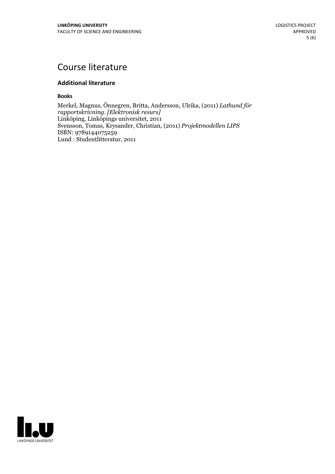# Course literature

#### **Additional literature**

**Books**

Merkel, Magnus, Önnegren, Britta, Andersson, Ulrika, (2011) *Lathund för rapportskrivning. [Elektronisk resurs]* Linköping, Linköpings universitet, 2011 Svensson, Tomas, Krysander, Christian, (2011) *Projektmodellen LIPS* ISBN: 9789144075259 Lund : Studentlitteratur, 2011